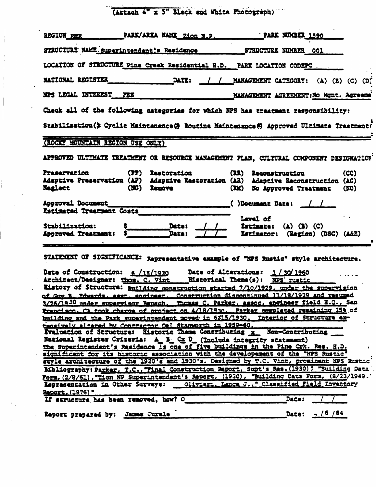(Attach 4" x 5" Black and White Photograph)  $\epsilon_{\rm{max}}$  wa

j

 $\begin{array}{c} 1 \\ 1 \\ 2 \\ 3 \end{array}$ 

 $\frac{\epsilon}{\epsilon}$ 

í.

 $\mathcal{L}^{\text{max}}$ 

|                                                                        |                                                           | PARK/AREA NAME Zion N.P.<br>PARK NUMBER 1590                                                                                                                                                                                                                                                                                                          |
|------------------------------------------------------------------------|-----------------------------------------------------------|-------------------------------------------------------------------------------------------------------------------------------------------------------------------------------------------------------------------------------------------------------------------------------------------------------------------------------------------------------|
|                                                                        | STRUCTURE NAME Superintendent!s Residence                 | STRUCTURE NUMBER 001                                                                                                                                                                                                                                                                                                                                  |
|                                                                        |                                                           | LOCATION OF STRUCTURE Pine Creek Residential H.D. PARK LOCATION CODEPC.                                                                                                                                                                                                                                                                               |
| <b>NATIONAL REGISTER</b>                                               | DATE:                                                     | MANAGEMENT CATEGORY: (A) (B) (C) (D)                                                                                                                                                                                                                                                                                                                  |
| NPS LEGAL INTEREST FEE                                                 |                                                           | MANAGEMENT AGREEMENT: No Mgnt. Agreeme                                                                                                                                                                                                                                                                                                                |
|                                                                        |                                                           | Check all of the following categories for which NPS has treatment responsibility:                                                                                                                                                                                                                                                                     |
|                                                                        |                                                           | Stabilisation(> Cyclic Maintenance(> Routine Maintenance() Approved Ultimate Treatment(                                                                                                                                                                                                                                                               |
| (ROCKY MOUNTAIN REGION USE ONLY)                                       |                                                           |                                                                                                                                                                                                                                                                                                                                                       |
|                                                                        |                                                           | APPROVED ULTIMATE TREATMENT OR RESOURCE MANAGEMENT PLAN, CULTURAL COMPONENT DESIGNATION                                                                                                                                                                                                                                                               |
| Preservation                                                           | (PP) Restoration                                          | (RR) Reconstruction<br>(CC)<br>Adaptive Preservation (AP) Adaptive Rastoration (AR) Adaptive Reconstruction (AC)                                                                                                                                                                                                                                      |
| <b>Neglect</b>                                                         | (NG) Remove                                               | (EM) No Approved Treatment<br>(50)                                                                                                                                                                                                                                                                                                                    |
| Approval Document<br>Estimated Treatment Costs                         |                                                           | $( )$ Document Date: $/$ /                                                                                                                                                                                                                                                                                                                            |
|                                                                        |                                                           | Level of                                                                                                                                                                                                                                                                                                                                              |
| Stabilization:<br>Approved Treatment:                                  | Daze:<br>Data:                                            | Estimate: $(A)$ $(B)$ $(C)$<br>Estimator: (Region) (DSC) (A&E)                                                                                                                                                                                                                                                                                        |
|                                                                        |                                                           |                                                                                                                                                                                                                                                                                                                                                       |
|                                                                        |                                                           |                                                                                                                                                                                                                                                                                                                                                       |
|                                                                        |                                                           |                                                                                                                                                                                                                                                                                                                                                       |
|                                                                        |                                                           |                                                                                                                                                                                                                                                                                                                                                       |
| Date of Construction: $6/15/1930$<br>Architect/Designer: Thos. C. Vint |                                                           | STATEMENT OF SIGNIFICANCE: Representative example of "NPS Rustic" style architecture.<br>Date of Alterations: 1/30/1960<br><b>Historical Theme(s): NPS rustic</b>                                                                                                                                                                                     |
|                                                                        |                                                           |                                                                                                                                                                                                                                                                                                                                                       |
|                                                                        |                                                           | Eistory of Structure: milding construction started 7/10/1929, under the supervision<br>of Gry B. Edwards, asst. engineer. Construction discontinued 11/18/1929 and resumed                                                                                                                                                                            |
|                                                                        |                                                           |                                                                                                                                                                                                                                                                                                                                                       |
| 3/26/1930 under supervisor Reusch.                                     |                                                           | Thomas C. Parker, assoc. engineer field H.O., San<br>Francisco. CA took charge of project on 4/18/1930. Parker completed remaining 25% of<br>building and the Park superintendent moved in 6315/1930. Interior of Structure ex-                                                                                                                       |
|                                                                        | tensively altared by Contractor Del Stanworth in 1959-60. |                                                                                                                                                                                                                                                                                                                                                       |
|                                                                        |                                                           | Evaluation of Structure: Eistoric Thame Contributing x Non-Contributing                                                                                                                                                                                                                                                                               |
|                                                                        |                                                           | National Register Criteria: A_B_Cx D_(Include integrity statement)<br>The Superintendent's Residence is one of five buildings in the Pine Crk. Res. H.D.                                                                                                                                                                                              |
|                                                                        |                                                           | significant for its historic association with the developement of the "NPS Rustic"                                                                                                                                                                                                                                                                    |
|                                                                        |                                                           |                                                                                                                                                                                                                                                                                                                                                       |
|                                                                        |                                                           |                                                                                                                                                                                                                                                                                                                                                       |
|                                                                        |                                                           |                                                                                                                                                                                                                                                                                                                                                       |
| Representation in Other Surveys:                                       |                                                           |                                                                                                                                                                                                                                                                                                                                                       |
| Report, (1976) "                                                       | If structure has been removed, how? O                     | style architecture of the 1920's and 1930's. Designed by T.C. Vint, prominent NPS Rustic'<br>Bibliography: Parker, T.C., "Final Construction Report, Supt's Res. (1930) " "Building Data'<br>Form, (2/8/61), "Zion NP Superintendent's Report, (1930), "Building Data Form, (8/23/1949."<br>Olivieri, Lance J., " Classified Field Inventory<br>Date: |

 $\Delta \sim 10^{11}$ 

 $\mathcal{L}(\mathcal{A})$  and  $\mathcal{L}(\mathcal{A})$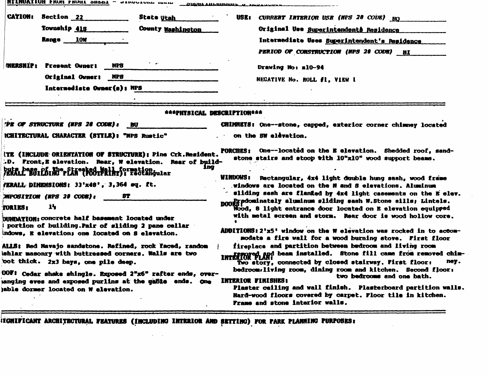| <b>CATION: Section 22</b><br><b>State Utah</b><br>Township 418<br>County Mashington<br>Range 10W                                                                                                                                                                                                                                                                                                                                                                                                                                                                                                                                                            | USE :<br>CURRENT INTERIOR USE (NPS 28 CODE) NO<br>Original Use Superintendents Residence<br>Intermediate Uses Superintendent's Residence<br>PERIOD OF CONSTRUCTION (NPS 28 CODE) HI                                                                                                                                                                                                                                                                                                                                                                                                                                                                                                                                                                                                                                                                                                                                                                                                                                                 |
|-------------------------------------------------------------------------------------------------------------------------------------------------------------------------------------------------------------------------------------------------------------------------------------------------------------------------------------------------------------------------------------------------------------------------------------------------------------------------------------------------------------------------------------------------------------------------------------------------------------------------------------------------------------|-------------------------------------------------------------------------------------------------------------------------------------------------------------------------------------------------------------------------------------------------------------------------------------------------------------------------------------------------------------------------------------------------------------------------------------------------------------------------------------------------------------------------------------------------------------------------------------------------------------------------------------------------------------------------------------------------------------------------------------------------------------------------------------------------------------------------------------------------------------------------------------------------------------------------------------------------------------------------------------------------------------------------------------|
| $\sim$ $\sim$<br><b>NERSHIP:</b><br><b>NPS</b><br>Present Owner:<br><b>Original Owner:</b><br>NP8<br>Internediste Owner(s): NPS                                                                                                                                                                                                                                                                                                                                                                                                                                                                                                                             | Drawing No: m10-94<br>NEGATIVE No. ROLL #1, VIEW 1                                                                                                                                                                                                                                                                                                                                                                                                                                                                                                                                                                                                                                                                                                                                                                                                                                                                                                                                                                                  |
| AAAPHYSICAL DESCRIPTIONAAA                                                                                                                                                                                                                                                                                                                                                                                                                                                                                                                                                                                                                                  |                                                                                                                                                                                                                                                                                                                                                                                                                                                                                                                                                                                                                                                                                                                                                                                                                                                                                                                                                                                                                                     |
| TPE OF STRUCTURE (NPS 28 CODE): BU<br>ICHITECTURAL CHARACTER (STYLE): "NPS Rustic"<br>ITE (INCLUDE ORIENTATION OF STRUCTURE): Pine Crk.Resident.<br>.D. Front, E elevation. Rear, W elevation. Rear of build-<br>ına                                                                                                                                                                                                                                                                                                                                                                                                                                        | CHIMMETS: One--stone, capped, exterior corner chimney located<br>on the SW elevation.<br>PORCHES: One--located on the E elevation. Shedded roof, sand-<br>stone stairs and stoop with 10"x10" wood support beams.                                                                                                                                                                                                                                                                                                                                                                                                                                                                                                                                                                                                                                                                                                                                                                                                                   |
| buta başğı Pa Mo-Fkkeeksi Mall formation dular<br>/ERALL DIMENSIONS: 33'x48', 3,364 eq. ft.<br><b>MPOSITION (NPS 28 CODE):</b><br>8T<br>14<br><b>FORIES:</b><br>DUNDATION: concrete half basement located under<br>portion of building. Pair of sliding 2 pane cellar<br>indows, E elevation; one located on S elevation.<br>ALLS: Red Navajo sandstone. Refined, rock faced, random<br>ishlar masonry with buttressed corners. Walls are two<br>bot thick. 2x3 bays, one pile deep.<br>00F: Cedar shake shingle. Exposed 2"x6" rafter ends, over-<br>anging eves and exposed purlins at the gable ends. One<br><b>jabïe dormer located on W elevation.</b> | WINDOWS: Rectangular, 4x4 light double hung sash, wood frame<br>.windows are located on the N and S elevations. Aluminum<br>sliding sash are flanked by 4x4 light casements on the E elev.<br>noon gradominately aluminum sliding sash W.Stone sills; Lintels.<br>Mood, 8 light entrance door located on E elevation equipped<br>with metal screen and storm. Rear door is wood hollow core.<br><b>ADDITIONS:2'x5' window on the W elevation was rocked in to accom-</b><br>modate a fire wall for a wood burning stove. First floor<br>fireplace and partition between bedroom and living room<br><b>INTERIOR PLAN:</b> beam installed. Stone fill came from removed chim-<br>ney.<br>Two story, connected by closed stairway. First floor:<br>bedroom. living room, dining room and kitchen. Second floor:<br>two bedrooms and one bath.<br>INTERIOR FINISHES:<br>Plaster ceiling and wall finish. Plasterboard partition walls.<br>Hard-wood floors covered by carpet. Floor tile in kitchen.<br>Frame and stone interior walls. |

 $\sim$ 

ITGNIFICANT ARCHITECTURAL FEATURES (INCLUDING INTERIOR AND SETTING) FOR FARK PLANNING PURPOSES:

 $\mathcal{L}^{\text{max}}_{\text{max}}$  and  $\mathcal{L}^{\text{max}}_{\text{max}}$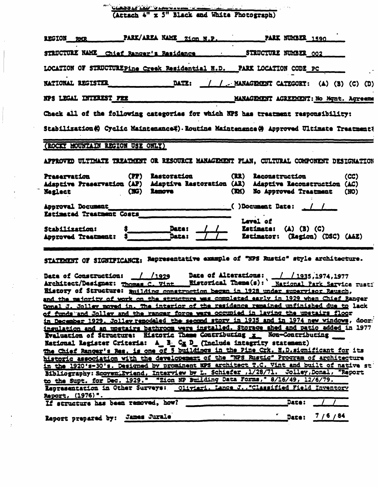CLASSLETED SLANDSUM - THE PROTOGRAPh)

per i

 $\mathcal{L}$ 

| LOCATION OF STRUCTUREPine Creek Residential H.D. PARK LOCATION CODE PC<br>DATE: / / MANAGEMENT CATEGORT: (A) (B) (C) (D)<br><b>NATIONAL REGISTER</b><br>NPS LEGAL INTEREST FEE<br>MANAGEMENT AGREEMENT: No Mgnt. Agreema<br>Check all of the following categories for which NPS has treatment responsibility:<br>Stabilization(C) Cyclic Maintenance(C). Routine Maintenance(C) Approved Ultimate Treatment(<br>(ROCKY MOUNTAIN REGION USE ONLY)<br>APPROVED ULTIMATE TREATMENT OR RESOURCE MANAGEMENT FLAN. CULTURAL COMPONENT DESIGNATION<br>(PP) Restoration<br>(RR) Reconstruction<br><b>Praservation</b><br>(CC)<br>Adaptive Preservation (AP) Adaptive Restoration (AR) Adaptive Reconstruction (AC)<br>(EM) No Approved Treatment<br>(NG) Remove<br><b>Neglect contract</b><br>(MO)<br>()Document Date: 1<br>Approval Document<br>Estimated Treatment Costs<br>Lavel of<br>Daze:<br>Estimate: $(A)$ $(B)$ $(C)$<br>Stabilization:<br>Data:<br>Estimator: (Ragion) (DSC) (A&E)<br><b>Approved Treatment:</b><br>STATIMENT OF SIGNIFICANCE: Representative example of "NPS Rustic" style architecture.<br>Date of Construction: / /1929 Date of Alterations: / /1935.1974.1977<br>History of Structure: muilding construction began in 1928 under supervisor Reusch,<br>and the majority of work on the structure was completed early in 1929 when Chief Ranger<br>Donal J. Jolley moved in. The interior of the residence remained unfinished due to lack<br>of funds and Jolley and the ranger force were occupied in laying the upstairs floor<br>in December 1929. Jolley remodeled the second story in 1935 and in 1974 new windows, door<br>insulation and an unstairs bathroom were installed. Storage shed and patio added in 1977<br>Evaluation of Structure: Historic These Contributing x Non-Contributing<br>National Register Criteria: A B. Cx D. (Include integrity statement)<br>The Chief Ranger's Res. is one of 5 buildings in the Pine Crk. H.D.significant for its<br>historic association with the developement of the "NPS Rustic" Program of architecture<br>in the 1920's-30's. Designed by prominent NPS architect T.C. Vint and built of native st<br>Bibliography: Scoven Eviend, Interview by L. Schiefer , 1/28/71. Jolley, Donal, "Report<br>to the Supt. for Dec. 1929." "Zion NP Building Data Forms," 8/16/49, 12/6/79.<br>Representation in Other Surveys: Olivieri, Lance J., "Classified Field Inventory<br>Report, (1976)".<br>If structure has been removed, how?<br><b>Date:</b> | PARK/AREA NAME Zion N.P.<br><b>REGION RMR</b> | <b>PARK NUMBER 1590</b> |
|-------------------------------------------------------------------------------------------------------------------------------------------------------------------------------------------------------------------------------------------------------------------------------------------------------------------------------------------------------------------------------------------------------------------------------------------------------------------------------------------------------------------------------------------------------------------------------------------------------------------------------------------------------------------------------------------------------------------------------------------------------------------------------------------------------------------------------------------------------------------------------------------------------------------------------------------------------------------------------------------------------------------------------------------------------------------------------------------------------------------------------------------------------------------------------------------------------------------------------------------------------------------------------------------------------------------------------------------------------------------------------------------------------------------------------------------------------------------------------------------------------------------------------------------------------------------------------------------------------------------------------------------------------------------------------------------------------------------------------------------------------------------------------------------------------------------------------------------------------------------------------------------------------------------------------------------------------------------------------------------------------------------------------------------------------------------------------------------------------------------------------------------------------------------------------------------------------------------------------------------------------------------------------------------------------------------------------------------------------------------------------------------------------------------------------------------------------------------------------------------------------------------------------|-----------------------------------------------|-------------------------|
|                                                                                                                                                                                                                                                                                                                                                                                                                                                                                                                                                                                                                                                                                                                                                                                                                                                                                                                                                                                                                                                                                                                                                                                                                                                                                                                                                                                                                                                                                                                                                                                                                                                                                                                                                                                                                                                                                                                                                                                                                                                                                                                                                                                                                                                                                                                                                                                                                                                                                                                               |                                               |                         |
|                                                                                                                                                                                                                                                                                                                                                                                                                                                                                                                                                                                                                                                                                                                                                                                                                                                                                                                                                                                                                                                                                                                                                                                                                                                                                                                                                                                                                                                                                                                                                                                                                                                                                                                                                                                                                                                                                                                                                                                                                                                                                                                                                                                                                                                                                                                                                                                                                                                                                                                               |                                               |                         |
|                                                                                                                                                                                                                                                                                                                                                                                                                                                                                                                                                                                                                                                                                                                                                                                                                                                                                                                                                                                                                                                                                                                                                                                                                                                                                                                                                                                                                                                                                                                                                                                                                                                                                                                                                                                                                                                                                                                                                                                                                                                                                                                                                                                                                                                                                                                                                                                                                                                                                                                               |                                               |                         |
|                                                                                                                                                                                                                                                                                                                                                                                                                                                                                                                                                                                                                                                                                                                                                                                                                                                                                                                                                                                                                                                                                                                                                                                                                                                                                                                                                                                                                                                                                                                                                                                                                                                                                                                                                                                                                                                                                                                                                                                                                                                                                                                                                                                                                                                                                                                                                                                                                                                                                                                               |                                               |                         |
|                                                                                                                                                                                                                                                                                                                                                                                                                                                                                                                                                                                                                                                                                                                                                                                                                                                                                                                                                                                                                                                                                                                                                                                                                                                                                                                                                                                                                                                                                                                                                                                                                                                                                                                                                                                                                                                                                                                                                                                                                                                                                                                                                                                                                                                                                                                                                                                                                                                                                                                               |                                               |                         |
|                                                                                                                                                                                                                                                                                                                                                                                                                                                                                                                                                                                                                                                                                                                                                                                                                                                                                                                                                                                                                                                                                                                                                                                                                                                                                                                                                                                                                                                                                                                                                                                                                                                                                                                                                                                                                                                                                                                                                                                                                                                                                                                                                                                                                                                                                                                                                                                                                                                                                                                               |                                               |                         |
|                                                                                                                                                                                                                                                                                                                                                                                                                                                                                                                                                                                                                                                                                                                                                                                                                                                                                                                                                                                                                                                                                                                                                                                                                                                                                                                                                                                                                                                                                                                                                                                                                                                                                                                                                                                                                                                                                                                                                                                                                                                                                                                                                                                                                                                                                                                                                                                                                                                                                                                               |                                               |                         |
|                                                                                                                                                                                                                                                                                                                                                                                                                                                                                                                                                                                                                                                                                                                                                                                                                                                                                                                                                                                                                                                                                                                                                                                                                                                                                                                                                                                                                                                                                                                                                                                                                                                                                                                                                                                                                                                                                                                                                                                                                                                                                                                                                                                                                                                                                                                                                                                                                                                                                                                               |                                               |                         |
|                                                                                                                                                                                                                                                                                                                                                                                                                                                                                                                                                                                                                                                                                                                                                                                                                                                                                                                                                                                                                                                                                                                                                                                                                                                                                                                                                                                                                                                                                                                                                                                                                                                                                                                                                                                                                                                                                                                                                                                                                                                                                                                                                                                                                                                                                                                                                                                                                                                                                                                               |                                               |                         |
|                                                                                                                                                                                                                                                                                                                                                                                                                                                                                                                                                                                                                                                                                                                                                                                                                                                                                                                                                                                                                                                                                                                                                                                                                                                                                                                                                                                                                                                                                                                                                                                                                                                                                                                                                                                                                                                                                                                                                                                                                                                                                                                                                                                                                                                                                                                                                                                                                                                                                                                               |                                               |                         |
|                                                                                                                                                                                                                                                                                                                                                                                                                                                                                                                                                                                                                                                                                                                                                                                                                                                                                                                                                                                                                                                                                                                                                                                                                                                                                                                                                                                                                                                                                                                                                                                                                                                                                                                                                                                                                                                                                                                                                                                                                                                                                                                                                                                                                                                                                                                                                                                                                                                                                                                               |                                               |                         |
|                                                                                                                                                                                                                                                                                                                                                                                                                                                                                                                                                                                                                                                                                                                                                                                                                                                                                                                                                                                                                                                                                                                                                                                                                                                                                                                                                                                                                                                                                                                                                                                                                                                                                                                                                                                                                                                                                                                                                                                                                                                                                                                                                                                                                                                                                                                                                                                                                                                                                                                               |                                               |                         |
|                                                                                                                                                                                                                                                                                                                                                                                                                                                                                                                                                                                                                                                                                                                                                                                                                                                                                                                                                                                                                                                                                                                                                                                                                                                                                                                                                                                                                                                                                                                                                                                                                                                                                                                                                                                                                                                                                                                                                                                                                                                                                                                                                                                                                                                                                                                                                                                                                                                                                                                               |                                               |                         |
|                                                                                                                                                                                                                                                                                                                                                                                                                                                                                                                                                                                                                                                                                                                                                                                                                                                                                                                                                                                                                                                                                                                                                                                                                                                                                                                                                                                                                                                                                                                                                                                                                                                                                                                                                                                                                                                                                                                                                                                                                                                                                                                                                                                                                                                                                                                                                                                                                                                                                                                               | Report prepared by: James Jurale              | Date: $7/6/84$          |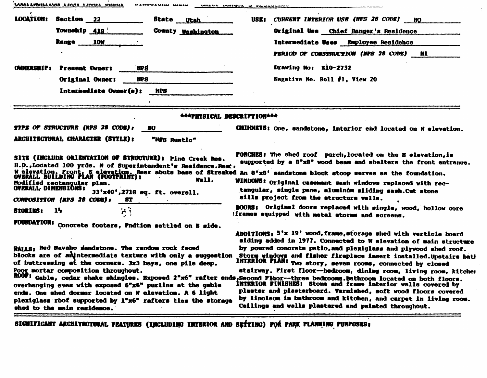| UURLAHUNLAUN KAUN KAUNA UNUMA<br>MAMMANAM AMMIN                                                                                                                                                                                                                                                                                                                                                                                                                                                                                                    | UMALA MANYUA U MUULU                                                                                                                                                                                                                                                                                                                                                                                                                                                                                                                                                                                                                                                                     |
|----------------------------------------------------------------------------------------------------------------------------------------------------------------------------------------------------------------------------------------------------------------------------------------------------------------------------------------------------------------------------------------------------------------------------------------------------------------------------------------------------------------------------------------------------|------------------------------------------------------------------------------------------------------------------------------------------------------------------------------------------------------------------------------------------------------------------------------------------------------------------------------------------------------------------------------------------------------------------------------------------------------------------------------------------------------------------------------------------------------------------------------------------------------------------------------------------------------------------------------------------|
| <b>LOCATION:</b><br><b>Section 22</b><br>State Utah                                                                                                                                                                                                                                                                                                                                                                                                                                                                                                | CURRENT INTERIOR USE (NPS 28 CODE)<br>USK 1<br>NO.                                                                                                                                                                                                                                                                                                                                                                                                                                                                                                                                                                                                                                       |
| Township 418<br>County Washington                                                                                                                                                                                                                                                                                                                                                                                                                                                                                                                  | Original Use Chief Ranger's Residence                                                                                                                                                                                                                                                                                                                                                                                                                                                                                                                                                                                                                                                    |
| <b>Range</b><br><b>10W</b>                                                                                                                                                                                                                                                                                                                                                                                                                                                                                                                         | Intermediate Uses Employee Residence                                                                                                                                                                                                                                                                                                                                                                                                                                                                                                                                                                                                                                                     |
|                                                                                                                                                                                                                                                                                                                                                                                                                                                                                                                                                    | PERIOD OF CONSTRUCTION (NPS 28 CODE)<br>HI                                                                                                                                                                                                                                                                                                                                                                                                                                                                                                                                                                                                                                               |
| OWNERSHIP :<br><b>Present Owner:</b><br>NP 8                                                                                                                                                                                                                                                                                                                                                                                                                                                                                                       | Drawing No: E10-2732                                                                                                                                                                                                                                                                                                                                                                                                                                                                                                                                                                                                                                                                     |
| Original Owner:<br><b>NPS</b>                                                                                                                                                                                                                                                                                                                                                                                                                                                                                                                      | Negative No. Roll #1, View 20                                                                                                                                                                                                                                                                                                                                                                                                                                                                                                                                                                                                                                                            |
| Intermediate Owner(s):<br>NPS                                                                                                                                                                                                                                                                                                                                                                                                                                                                                                                      |                                                                                                                                                                                                                                                                                                                                                                                                                                                                                                                                                                                                                                                                                          |
|                                                                                                                                                                                                                                                                                                                                                                                                                                                                                                                                                    |                                                                                                                                                                                                                                                                                                                                                                                                                                                                                                                                                                                                                                                                                          |
| ***PHYSICAL DESCRIPTION***                                                                                                                                                                                                                                                                                                                                                                                                                                                                                                                         |                                                                                                                                                                                                                                                                                                                                                                                                                                                                                                                                                                                                                                                                                          |
| TYPE OF STRUCTURE (NPS 28 CODE):<br>BU                                                                                                                                                                                                                                                                                                                                                                                                                                                                                                             | CHIMMETS: One, sandstone, interior end located on N elevation.                                                                                                                                                                                                                                                                                                                                                                                                                                                                                                                                                                                                                           |
| ARCHITECTURAL CHARACTER (STYLE):<br>"N#S Rustic"                                                                                                                                                                                                                                                                                                                                                                                                                                                                                                   |                                                                                                                                                                                                                                                                                                                                                                                                                                                                                                                                                                                                                                                                                          |
| SITE (INCLUDE ORIENTATION OF STRUCTURE): Pine Creek Res.<br>H.D., Located 100 yrds. N of Superintendent's Residence. Rear,<br>W elevation. Front, E elevation, Rear abuts base of Streaked An 8'x8' sandstone block stoop serves as the foundation.<br>OVERALL BUILDING PLAN (FOOTPRINT): What we have a streamed and all and the stoop serves as the foundatio<br>Wall.<br>Modified rectangular plan.<br><b>OVERALL DIMENSIONS:</b><br>33'x40',2718 eq. ft. overell.<br>COMPOSITION (NPS 28 CODE):<br>8T<br>$\mathbf{h}$<br><b>STORIES:</b><br>14 | supported by a 8"x8" wood beam and shelters the front entrance.<br>WINDOWS: Original casement sash windows replaced with rec-<br>tangular, single pane, aluminum sliding sash. Cut stone<br>sills project from the structure walls.<br>DOORS: Original doors replaced with single, wood, hollow core                                                                                                                                                                                                                                                                                                                                                                                     |
|                                                                                                                                                                                                                                                                                                                                                                                                                                                                                                                                                    | iframes equipped with metal storms and screens.                                                                                                                                                                                                                                                                                                                                                                                                                                                                                                                                                                                                                                          |
| <b>FOUNDATION:</b> Concrete footers, Fndtion settled on <b>E</b> side.<br>WALLS: Red Navaho sandstone. The random rock faced<br>blocks are of anintermediate texture with only a suggestion<br>of buttressing at the corners. 3x3 bays, one pile deep.<br>Poor mortar composition throughout.<br>overhanging eves with exposed 6"x6" purlins at the gable<br>ends. One shed dormer located on W elevation. A 6 light                                                                                                                               | ADDITIONS: 5'x 19' wood, frame, storage shed with verticle board<br>siding added in 1977. Connected to W elevation of main structure<br>by poured concrete patio, and plexiglass and plywood shed roof.<br>Storm windows and fisher fireplace insert installed. Upstairs bath<br>INTERIOR PLAN: Two story, seven rooms, connected by closed<br>stairway. First floor--bedroom, dining room, living room, kitcher<br>ROOF: Gable, cedar shake shingles. Exposed 2"x6" rafter ends, Second Floor--three bedrooms. Bathroom located on both floors.<br><b>INTERIOR FINISHES:</b> Stone and frame interior walls covered by<br>plaster and plasterboard. Varnished, soft wood floors covered |

÷.

SIGNIFICANT ARCHITECTURAL FEATURES (INCLUDING INTERIOR AND SETTING) FOR PARK PLANNING PURPOSES: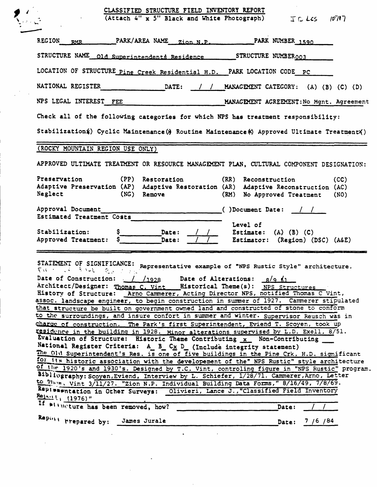|                                                                                            | CLASSIFIED STRUCTURE FIELD INVENTORY REPORT<br>(Attach 4" x 5" Black and White Photograph)                                                                                                                                                                                                                                                                                                                                                                                                                                                                                                                                                                                                                                                                                                                                                                                                                                                                                                                                                                                                                                                                                                                                                                                                                                                                                                              | $I \subset LS$                                                                                        | 10717        |
|--------------------------------------------------------------------------------------------|---------------------------------------------------------------------------------------------------------------------------------------------------------------------------------------------------------------------------------------------------------------------------------------------------------------------------------------------------------------------------------------------------------------------------------------------------------------------------------------------------------------------------------------------------------------------------------------------------------------------------------------------------------------------------------------------------------------------------------------------------------------------------------------------------------------------------------------------------------------------------------------------------------------------------------------------------------------------------------------------------------------------------------------------------------------------------------------------------------------------------------------------------------------------------------------------------------------------------------------------------------------------------------------------------------------------------------------------------------------------------------------------------------|-------------------------------------------------------------------------------------------------------|--------------|
| <b>REGION</b><br><b>RMR</b>                                                                | PARK/AREA NAME<br>Zion N.P.                                                                                                                                                                                                                                                                                                                                                                                                                                                                                                                                                                                                                                                                                                                                                                                                                                                                                                                                                                                                                                                                                                                                                                                                                                                                                                                                                                             | PARK NUMBER 1590                                                                                      |              |
|                                                                                            | STRUCTURE NAME old Superintendents Residence                                                                                                                                                                                                                                                                                                                                                                                                                                                                                                                                                                                                                                                                                                                                                                                                                                                                                                                                                                                                                                                                                                                                                                                                                                                                                                                                                            | STRUCTURE NUMBER <sub>003</sub>                                                                       |              |
|                                                                                            | LOCATION OF STRUCTURE Pine Creek Residential H.D.                                                                                                                                                                                                                                                                                                                                                                                                                                                                                                                                                                                                                                                                                                                                                                                                                                                                                                                                                                                                                                                                                                                                                                                                                                                                                                                                                       | PARK LOCATION CODE PC                                                                                 |              |
| NATIONAL REGISTER                                                                          | DATE:                                                                                                                                                                                                                                                                                                                                                                                                                                                                                                                                                                                                                                                                                                                                                                                                                                                                                                                                                                                                                                                                                                                                                                                                                                                                                                                                                                                                   | MANAGEMENT CATEGORY: (A) (B) (C) (D)<br>$\sqrt{ }$                                                    |              |
| NPS LEGAL INTEREST FEE                                                                     |                                                                                                                                                                                                                                                                                                                                                                                                                                                                                                                                                                                                                                                                                                                                                                                                                                                                                                                                                                                                                                                                                                                                                                                                                                                                                                                                                                                                         | MANAGEMENT AGREEMENT: No Mgnt. Agreement                                                              |              |
|                                                                                            | Check all of the following categories for which NPS has treatment responsibility:                                                                                                                                                                                                                                                                                                                                                                                                                                                                                                                                                                                                                                                                                                                                                                                                                                                                                                                                                                                                                                                                                                                                                                                                                                                                                                                       |                                                                                                       |              |
|                                                                                            | Stabilization (yclic Maintenance (x) Routine Maintenance (x) Approved Ultimate Treatment (x)                                                                                                                                                                                                                                                                                                                                                                                                                                                                                                                                                                                                                                                                                                                                                                                                                                                                                                                                                                                                                                                                                                                                                                                                                                                                                                            |                                                                                                       |              |
|                                                                                            | (ROCKY MOUNTAIN REGION USE ONLY)                                                                                                                                                                                                                                                                                                                                                                                                                                                                                                                                                                                                                                                                                                                                                                                                                                                                                                                                                                                                                                                                                                                                                                                                                                                                                                                                                                        |                                                                                                       |              |
|                                                                                            | APPROVED ULTIMATE TREATMENT OR RESOURCE MANAGEMENT PLAN, CULTURAL COMPONENT DESIGNATION:                                                                                                                                                                                                                                                                                                                                                                                                                                                                                                                                                                                                                                                                                                                                                                                                                                                                                                                                                                                                                                                                                                                                                                                                                                                                                                                |                                                                                                       |              |
| Preservation<br>Neglect                                                                    | (PP) Restoration<br>Adaptive Preservation (AP) Adaptive Restoration (AR)<br>(NG) Remove                                                                                                                                                                                                                                                                                                                                                                                                                                                                                                                                                                                                                                                                                                                                                                                                                                                                                                                                                                                                                                                                                                                                                                                                                                                                                                                 | (RR)<br>Reconstruction<br>Adaptive Reconstruction (AC)<br>(RM)<br>No Approved Treatment               | (CC)<br>(NO) |
| Approval Document<br>Estimated Treatment Costs<br>Stabilization:<br>Approved Treatment:    | Date:<br>Date:                                                                                                                                                                                                                                                                                                                                                                                                                                                                                                                                                                                                                                                                                                                                                                                                                                                                                                                                                                                                                                                                                                                                                                                                                                                                                                                                                                                          | ()Document Date:<br>Level of<br>Estimate: $(A)$ $(B)$ $(C)$<br>Estimator: (Region) (DSC) (A&E)        |              |
| STATEMENT OF SIGNIFICANCE:<br>せいしょう こくしき いしもし<br>Date of Construction:<br>$Relaut$ (1976)" | र प<br><u> 1928 /</u><br>Architect/Designer: Thomas C. Vint __ Historical Theme(s): NPS Structures<br>History of Structure: Arno Cammerer, Acting Director NPS, notified Thomas C Vint,<br>assoc. landscape engineer, to begin construction in summer of 1927. Cammerer stipulated<br>that structure be built on government owned land and constructed of stone to conform<br>to the surroundings, and insure confort in summer and winter. Supervisor Reusch was in<br>charge of construction. The Park's first Superintendent, Eviend T. Scoyen, took up<br>residence in the building in 1928. Minor alterations supervised by L.D. Exell, 8/51.<br>Evaluation of Structure: Historic Theme Contributing x Non-Contributing<br>National Register Criteria: A B Cx D (Include integrity statement)<br>The Old Superintendent's Res. is one of five buildings in the Pine Crk. H.D. significant<br>for its historic association with the developement of the" NPS Rustic" style architecture<br>of the 1920's and 1930's. Designed by T.C. Vint, controling figure in "NPS Rustic" program.<br>Bibliography: Scoyen, Eviend, Interview by L. Schiefer, 1/28/71. Cammerer, Arno, Letter<br>to Then, Vint 3/11/27. "Zion N.P. Individual Building Data Forms," 8/16/49, 7/8/69.<br>Representation in Other Surveys: Olivieri, Lance J., "Classified Field Inventory<br>If with the has been removed, how? | Representative example of "NPS Rustic Style" architecture.<br>Date of Alterations:<br>R/9.61<br>Date: |              |
|                                                                                            | Repart the prepared by: James Jurale                                                                                                                                                                                                                                                                                                                                                                                                                                                                                                                                                                                                                                                                                                                                                                                                                                                                                                                                                                                                                                                                                                                                                                                                                                                                                                                                                                    | Date:                                                                                                 | 7 /6 /84     |
|                                                                                            |                                                                                                                                                                                                                                                                                                                                                                                                                                                                                                                                                                                                                                                                                                                                                                                                                                                                                                                                                                                                                                                                                                                                                                                                                                                                                                                                                                                                         |                                                                                                       |              |

 $\sim 10^7$ 

 $\mathbb{R}^2$ 

 $\bar{\mathcal{A}}$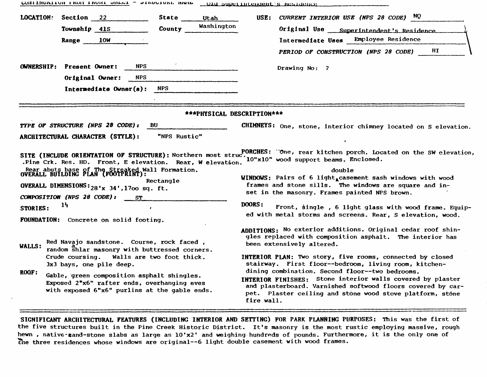|           | <b>CONTINUATION FROM TRANT SHEPT  STRACTORP MULTI</b>                                                                                      |                                       | ULA SUPERINLENDENT'S RESIDENCE                                                                                                                                                                                                                          |  |  |  |
|-----------|--------------------------------------------------------------------------------------------------------------------------------------------|---------------------------------------|---------------------------------------------------------------------------------------------------------------------------------------------------------------------------------------------------------------------------------------------------------|--|--|--|
| LOCATION: | Section 22<br>Township 41S                                                                                                                 | State<br>Utah<br>Washington<br>County | USE: CURRENT INTERIOR USE (NPS 28 CODE) $NQ$<br>Original Use<br>Superintendent's Residence                                                                                                                                                              |  |  |  |
|           | 10W<br>Range                                                                                                                               |                                       | Employee Residence<br>Intermediate Uses                                                                                                                                                                                                                 |  |  |  |
|           |                                                                                                                                            |                                       | HI<br>PERIOD OF CONSTRUCTION (NPS 28 CODE)                                                                                                                                                                                                              |  |  |  |
|           | <b>NPS</b><br><b>OWNERSHIP:</b> Present Owner:                                                                                             |                                       | Drawing No: ?                                                                                                                                                                                                                                           |  |  |  |
|           | <b>NPS</b><br>Original Owner:                                                                                                              |                                       |                                                                                                                                                                                                                                                         |  |  |  |
|           | Intermediate Owner(s):                                                                                                                     | <b>NPS</b>                            |                                                                                                                                                                                                                                                         |  |  |  |
|           |                                                                                                                                            | ***PHYSICAL DESCRIPTION***            |                                                                                                                                                                                                                                                         |  |  |  |
|           | TYPE OF STRUCTURE (NPS 28 CODE):                                                                                                           | BU.                                   | CHIMNEYS: One, stone, interior chimney located on S elevation.                                                                                                                                                                                          |  |  |  |
|           | ARCHITECTURAL CHARACTER (STYLE):                                                                                                           | "NPS Rustic"                          |                                                                                                                                                                                                                                                         |  |  |  |
|           | SITE (INCLUDE ORIENTATION OF STRUCTURE): Northern most struc <sup>t</sup><br>.Pine Crk. Res. HD. Front, E elevation. Rear, W elevation.    |                                       | PORCHES: "One, rear kitchen porch. Located on the SW elevation,<br>10"x10" wood support beams. Enclosed.                                                                                                                                                |  |  |  |
|           | Rear abuts base of The Streaked Wall Formation.<br>OVERALL BUILDING PLAN (FOOTPRINT):                                                      |                                       | double                                                                                                                                                                                                                                                  |  |  |  |
|           | OVERALL DIMENSIONS: $28'x$ 34', 1700 sq. ft.                                                                                               | Rectangle                             | WINDOWS: Pairs of 6 light, casement sash windows with wood<br>frames and stone sills. The windows are square and in-                                                                                                                                    |  |  |  |
|           | COMPOSITION (NPS 28 CODE):<br>ST                                                                                                           |                                       | set in the masonry. Frames painted NPS brown.                                                                                                                                                                                                           |  |  |  |
| STORIES:  | 1 <sub>2</sub><br>$\bullet$<br>FOUNDATION: Concrete on solid footing.                                                                      |                                       | <b>DOORS:</b><br>Front, single, 6 light glass with wood frame. Equip-<br>ed with metal storms and screens. Rear, S elevation, wood.                                                                                                                     |  |  |  |
| WALLS:    | Red Navajo sandstone. Course, rock faced,<br>random shlar masonry with buttressed corners.                                                 |                                       | ADDITIONS: No exterior additions. Original cedar roof shin-<br>gles replaced with composition asphalt. The interior has<br>been extensively altered.                                                                                                    |  |  |  |
|           | Crude coursing. Walls are two foot thick.<br>3x3 bays, one pile deep.                                                                      |                                       | INTERIOR PLAN: Two story, five rooms, connected by closed<br>stairway. First floor--bedroom, living room, kitchen-                                                                                                                                      |  |  |  |
| ROOF:     | Gable, green composition asphalt shingles.<br>Exposed 2"x6" rafter ends, overhanging eves<br>with exposed 6"x6" purlins at the gable ends. |                                       | dining combination. Second floor--two bedrooms.<br>INTERIOR FINISHES: Stone interior walls covered by plaster<br>and plasterboard. Varnished softwood floors covered by car-<br>pet. Plaster ceiling and stone wood stove platform, stone<br>fire wall. |  |  |  |

UCHELHORITOR FRONT ERONE ONLAR - OTROGIORE NAME

SIGNIFICANT ARCHITECTURAL FEATURES (INCLUDING INTERIOR AND SETTING) FOR PARK PLANNING PURPOSES: This was the first of the five structures built in the Pine Creek Historic District. It's masonry is the most rustic employing massive, rough hewn, native-sand-stone slabs as large as 10'x2' and weighing hundreds of pounds. Furthermore, it is the only one of the three residences whose windows are original--6 light double casement with wood frames.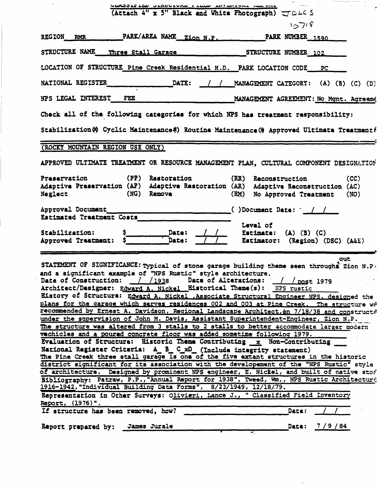| 1/27/8<br>PARK/AREA NAME Zion N.P.<br><b>REGION</b><br>PARK NUMBER 1590<br><b>RMR</b><br>STRUCTURE NAME<br>Three Stall Garage<br>STRUCTURE NUMBER 102<br>LOCATION OF STRUCTURE Pine Creek Residential H.D. PARK LOCATION CODE<br>PC<br>NATIONAL REGISTER<br>DATE:<br>MANAGEMENT CATEGORY: (A) (B) (C) (D)<br>NPS LEGAL INTEREST<br>FEE<br>MANAGEMENT AGREEMENT: No Mgnt. Agreeme<br>Check all of the following categories for which NPS has treatment responsibility:<br>Stabilization(c) Cyclic Maintenance(c) Routine Maintenance(3) Approved Ultimate Treatment{<br>(ROCKY MOUNTAIN REGION USE ONLY)<br>APPROVED ULTIMATE TREATMENT OR RESOURCE MANAGEMENT PLAN, CULTURAL COMPONENT DESIGNATION<br>Preservation<br>(PP) Restoration<br>(RR) Reconstruction<br>(CC)<br>Adaptive Preservation (AP) Adaptive Restoration (AR) Adaptive Reconstruction (AC)<br>Neglect<br>(NG)<br><b>Remove</b><br>(RM)<br>No Approved Treatment<br>(NO)<br>Approval Document<br>$( )$ Document Date: $/$ /<br>Estimated Treatment Costs<br>Level of<br>Stabilization:<br>Date:<br>$(A)$ $(B)$ $(C)$<br>Estimate:<br>Date:<br>Estimator: (Region) (DSC) (A&E)<br>Approved Treatment:<br>out<br>STATEMENT OF SIGNIFICANCE: Typical of stone garage building theme seen throughs Zion N.P.<br>and a significant example of "NPS Rustic" style architecture.<br>Date of Alterations: // post 1979<br>Date of Construction:<br>__/ / 1938<br>Architect/Designer: Edward A. Nickel Eistorical Theme(s): NPS rustic<br>History of Structure: Edward A. Nickel , Associate Structural Engineer NPS, designed the<br>plans for the garage which serves residences 002 and 003 at Pine Creek. The structure wa<br>recommended by Ernest A. Davidson, Regional Landscape Architect, on 7/18/38 and constructe<br>under the supervision of John M. Davis, Assistant Superintendent-Engineer, Zion N.P.<br>The structure was altered from 3 stalls to 2 stalls to better accommodate larger modern<br>vechicles and a poured concrete floor was added sometime following 1979.<br>Evaluation of Structure: Historic Theme Contributing x Non-Contributing<br>National Register Criteria: A B C xD (Include integrity statement)<br>The Pine Creek three stall garage is one of the five extant structures in the historic<br>district significant for its association with the developement of the "NPS Rustic" style<br>of architecture. Designed by prominent NPS engineer, E. Nickel, and built of native stor<br>Bibliography: Patraw, P.P., "Annual Report for 1938", Tweed, Wm., NPS Rustic Architecture<br>1916-1942, "Individual Building Data Forms", 8/23/1949, 12/18/79.<br>Representation in Other Surveys: Olivieri, Lance J., " Classified Field Inventory<br>Report, (1976)".<br>If structure has been removed, how?<br>Date:<br>Date: $7/9/84$<br>Report prepared by: James Jurale | <u>VERDOLE LEU OLAUVIURE I LEUM INTERNÍVAL AND VIDE VAL</u><br>(Attach 4" x 5" Black and White Photograph) $JDLC$ S |  |
|-----------------------------------------------------------------------------------------------------------------------------------------------------------------------------------------------------------------------------------------------------------------------------------------------------------------------------------------------------------------------------------------------------------------------------------------------------------------------------------------------------------------------------------------------------------------------------------------------------------------------------------------------------------------------------------------------------------------------------------------------------------------------------------------------------------------------------------------------------------------------------------------------------------------------------------------------------------------------------------------------------------------------------------------------------------------------------------------------------------------------------------------------------------------------------------------------------------------------------------------------------------------------------------------------------------------------------------------------------------------------------------------------------------------------------------------------------------------------------------------------------------------------------------------------------------------------------------------------------------------------------------------------------------------------------------------------------------------------------------------------------------------------------------------------------------------------------------------------------------------------------------------------------------------------------------------------------------------------------------------------------------------------------------------------------------------------------------------------------------------------------------------------------------------------------------------------------------------------------------------------------------------------------------------------------------------------------------------------------------------------------------------------------------------------------------------------------------------------------------------------------------------------------------------------------------------------------------------------------------------------------------------------------------------------------------------------------------------------------------------------------------------------------------------------------------------------------------------------------------------------|---------------------------------------------------------------------------------------------------------------------|--|
|                                                                                                                                                                                                                                                                                                                                                                                                                                                                                                                                                                                                                                                                                                                                                                                                                                                                                                                                                                                                                                                                                                                                                                                                                                                                                                                                                                                                                                                                                                                                                                                                                                                                                                                                                                                                                                                                                                                                                                                                                                                                                                                                                                                                                                                                                                                                                                                                                                                                                                                                                                                                                                                                                                                                                                                                                                                                       |                                                                                                                     |  |
|                                                                                                                                                                                                                                                                                                                                                                                                                                                                                                                                                                                                                                                                                                                                                                                                                                                                                                                                                                                                                                                                                                                                                                                                                                                                                                                                                                                                                                                                                                                                                                                                                                                                                                                                                                                                                                                                                                                                                                                                                                                                                                                                                                                                                                                                                                                                                                                                                                                                                                                                                                                                                                                                                                                                                                                                                                                                       |                                                                                                                     |  |
|                                                                                                                                                                                                                                                                                                                                                                                                                                                                                                                                                                                                                                                                                                                                                                                                                                                                                                                                                                                                                                                                                                                                                                                                                                                                                                                                                                                                                                                                                                                                                                                                                                                                                                                                                                                                                                                                                                                                                                                                                                                                                                                                                                                                                                                                                                                                                                                                                                                                                                                                                                                                                                                                                                                                                                                                                                                                       |                                                                                                                     |  |
|                                                                                                                                                                                                                                                                                                                                                                                                                                                                                                                                                                                                                                                                                                                                                                                                                                                                                                                                                                                                                                                                                                                                                                                                                                                                                                                                                                                                                                                                                                                                                                                                                                                                                                                                                                                                                                                                                                                                                                                                                                                                                                                                                                                                                                                                                                                                                                                                                                                                                                                                                                                                                                                                                                                                                                                                                                                                       |                                                                                                                     |  |
|                                                                                                                                                                                                                                                                                                                                                                                                                                                                                                                                                                                                                                                                                                                                                                                                                                                                                                                                                                                                                                                                                                                                                                                                                                                                                                                                                                                                                                                                                                                                                                                                                                                                                                                                                                                                                                                                                                                                                                                                                                                                                                                                                                                                                                                                                                                                                                                                                                                                                                                                                                                                                                                                                                                                                                                                                                                                       |                                                                                                                     |  |
|                                                                                                                                                                                                                                                                                                                                                                                                                                                                                                                                                                                                                                                                                                                                                                                                                                                                                                                                                                                                                                                                                                                                                                                                                                                                                                                                                                                                                                                                                                                                                                                                                                                                                                                                                                                                                                                                                                                                                                                                                                                                                                                                                                                                                                                                                                                                                                                                                                                                                                                                                                                                                                                                                                                                                                                                                                                                       |                                                                                                                     |  |
|                                                                                                                                                                                                                                                                                                                                                                                                                                                                                                                                                                                                                                                                                                                                                                                                                                                                                                                                                                                                                                                                                                                                                                                                                                                                                                                                                                                                                                                                                                                                                                                                                                                                                                                                                                                                                                                                                                                                                                                                                                                                                                                                                                                                                                                                                                                                                                                                                                                                                                                                                                                                                                                                                                                                                                                                                                                                       |                                                                                                                     |  |
|                                                                                                                                                                                                                                                                                                                                                                                                                                                                                                                                                                                                                                                                                                                                                                                                                                                                                                                                                                                                                                                                                                                                                                                                                                                                                                                                                                                                                                                                                                                                                                                                                                                                                                                                                                                                                                                                                                                                                                                                                                                                                                                                                                                                                                                                                                                                                                                                                                                                                                                                                                                                                                                                                                                                                                                                                                                                       |                                                                                                                     |  |
|                                                                                                                                                                                                                                                                                                                                                                                                                                                                                                                                                                                                                                                                                                                                                                                                                                                                                                                                                                                                                                                                                                                                                                                                                                                                                                                                                                                                                                                                                                                                                                                                                                                                                                                                                                                                                                                                                                                                                                                                                                                                                                                                                                                                                                                                                                                                                                                                                                                                                                                                                                                                                                                                                                                                                                                                                                                                       |                                                                                                                     |  |
|                                                                                                                                                                                                                                                                                                                                                                                                                                                                                                                                                                                                                                                                                                                                                                                                                                                                                                                                                                                                                                                                                                                                                                                                                                                                                                                                                                                                                                                                                                                                                                                                                                                                                                                                                                                                                                                                                                                                                                                                                                                                                                                                                                                                                                                                                                                                                                                                                                                                                                                                                                                                                                                                                                                                                                                                                                                                       |                                                                                                                     |  |
|                                                                                                                                                                                                                                                                                                                                                                                                                                                                                                                                                                                                                                                                                                                                                                                                                                                                                                                                                                                                                                                                                                                                                                                                                                                                                                                                                                                                                                                                                                                                                                                                                                                                                                                                                                                                                                                                                                                                                                                                                                                                                                                                                                                                                                                                                                                                                                                                                                                                                                                                                                                                                                                                                                                                                                                                                                                                       |                                                                                                                     |  |
|                                                                                                                                                                                                                                                                                                                                                                                                                                                                                                                                                                                                                                                                                                                                                                                                                                                                                                                                                                                                                                                                                                                                                                                                                                                                                                                                                                                                                                                                                                                                                                                                                                                                                                                                                                                                                                                                                                                                                                                                                                                                                                                                                                                                                                                                                                                                                                                                                                                                                                                                                                                                                                                                                                                                                                                                                                                                       |                                                                                                                     |  |
|                                                                                                                                                                                                                                                                                                                                                                                                                                                                                                                                                                                                                                                                                                                                                                                                                                                                                                                                                                                                                                                                                                                                                                                                                                                                                                                                                                                                                                                                                                                                                                                                                                                                                                                                                                                                                                                                                                                                                                                                                                                                                                                                                                                                                                                                                                                                                                                                                                                                                                                                                                                                                                                                                                                                                                                                                                                                       |                                                                                                                     |  |

 $\mathcal{L}^{\text{max}}_{\text{max}}$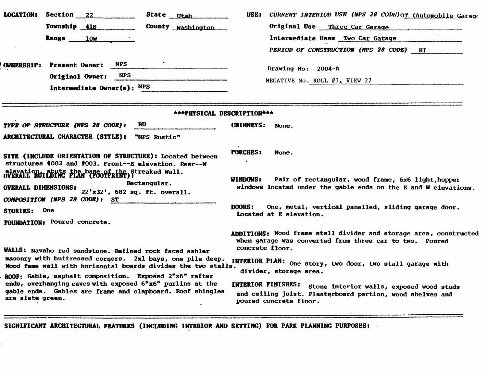| <b>LOCATION:</b><br>Section 22                                       | State <u>Utah</u>                                                                                                                                                                | CURRENT INTERIOR USE (NPS 28 CODE) OT (Automobile Garage<br>USE:                                                                                   |
|----------------------------------------------------------------------|----------------------------------------------------------------------------------------------------------------------------------------------------------------------------------|----------------------------------------------------------------------------------------------------------------------------------------------------|
| Township 41S                                                         | County Washington                                                                                                                                                                | Original Use Three Car Garage                                                                                                                      |
| <b>Range</b>                                                         | <b>10M</b>                                                                                                                                                                       | Intermediate Uses Two Car Gatage                                                                                                                   |
|                                                                      |                                                                                                                                                                                  | PERIOD OF CONSTRUCTION (NPS 28 CODE) HI                                                                                                            |
| <b>OWNERSHIP:</b><br><b>Present Owner:</b><br>Original Owner:        | <b>NPS</b><br><b>NPS</b>                                                                                                                                                         | Drawing No: 2004-A<br>NEGATIVE No. ROLL #1, VIEW 27                                                                                                |
|                                                                      | Intermediate Owner(s): NPS                                                                                                                                                       |                                                                                                                                                    |
|                                                                      |                                                                                                                                                                                  | ***PHYSICAL DESCRIPTION***                                                                                                                         |
| TYPE OF STRUCTURE (NPS 28 CODE):<br>ARCHITECTURAL CHARACTER (STYLE): | BU<br>"NPS Rustic"                                                                                                                                                               | <b>CHIMNEYS:</b><br>None.                                                                                                                          |
|                                                                      | SITE (INCLUDE ORIENTATION OF STRUCTURE): Located between<br>structures #002 and #003. Front--E elevation. Rear--W                                                                | <b>PORCHES:</b><br>None.                                                                                                                           |
| <b>OVERALL DIMENSIONS:</b><br>COMPOSITION (NPS 28 CODE): ST          | elevation, abuts the base of athe Streaked Wall.<br>Rectangular.<br>22'x32', 682 sq. ft. overall.                                                                                | WINDOWS:<br>Pair of rectangular, wood frame, 6x6 light, hopper<br>windows located under the gable ends on the E and W eievations.                  |
| <b>One</b><br><b>STORIES:</b>                                        |                                                                                                                                                                                  | One, metal, vertical panelled, sliding garage door.<br><b>DOORS:</b><br>Located at E elevation.                                                    |
| <b>FOUNDATION: Poured concrete.</b>                                  |                                                                                                                                                                                  |                                                                                                                                                    |
|                                                                      | WALLS: Navaho red sandstone. Refined rock faced ashlar                                                                                                                           | ADDITIONS: Wood frame stall divider and storage area, constructed<br>when garage was converted from three car to two. Poured<br>concrete floor.    |
|                                                                      | masonry with buttressed corners. 2x1 bays, one pile deep.<br>Wood fame wall with horizontal boards divides the two stalls.                                                       | INTERIOR PLAN: One story, two door, two stall garage with<br>divider, storage area.                                                                |
| are slate green.                                                     | ROOF: Gable, asphalt composition. Exposed 2"x6" rafter<br>ends, overhanging eaves with exposed 6"x6" purlins at the<br>gable ends. Gables are frame and clapboard. Roof shingles | INTERIOR FINISHES: Stone interior walls, exposed wood studs<br>and ceiling joist. Plasterboard partion, wood shelves and<br>poured concrete floor. |

**SIGNIFICANT ARCHITECTURAL FEATURES (INCLUDING INTERIOR AND SETTING) FOR PARK PLANNING PURPOSES:**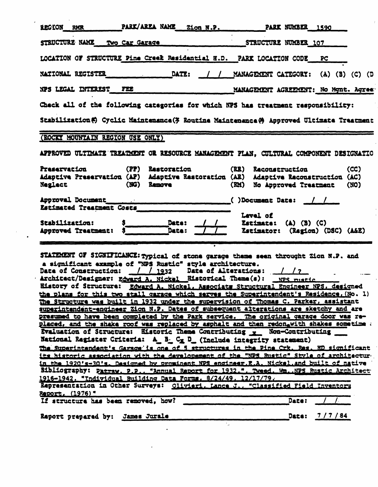| PARK/AREA NAME Zion N.P.<br>REGION RMR<br><b>PARK NUMBER 1590</b>                                                                                                                                                                                                                                                                                                                                                                                                                                                                                                                                                                                                                                                                                                                                                                                                                                                                                                                                                                                                                                                                                                                                                                                                                                                                                                                                                                                                                                                                                                                                                 |  |  |  |  |  |
|-------------------------------------------------------------------------------------------------------------------------------------------------------------------------------------------------------------------------------------------------------------------------------------------------------------------------------------------------------------------------------------------------------------------------------------------------------------------------------------------------------------------------------------------------------------------------------------------------------------------------------------------------------------------------------------------------------------------------------------------------------------------------------------------------------------------------------------------------------------------------------------------------------------------------------------------------------------------------------------------------------------------------------------------------------------------------------------------------------------------------------------------------------------------------------------------------------------------------------------------------------------------------------------------------------------------------------------------------------------------------------------------------------------------------------------------------------------------------------------------------------------------------------------------------------------------------------------------------------------------|--|--|--|--|--|
| STRUCTURE NAME<br>Two Car Garage<br>STRUCTURE NUMBER 107                                                                                                                                                                                                                                                                                                                                                                                                                                                                                                                                                                                                                                                                                                                                                                                                                                                                                                                                                                                                                                                                                                                                                                                                                                                                                                                                                                                                                                                                                                                                                          |  |  |  |  |  |
| LOCATION OF STRUCTURE Pine Creek Residential H.D. PARK LOCATION CODE<br>PC                                                                                                                                                                                                                                                                                                                                                                                                                                                                                                                                                                                                                                                                                                                                                                                                                                                                                                                                                                                                                                                                                                                                                                                                                                                                                                                                                                                                                                                                                                                                        |  |  |  |  |  |
| NATIONAL REGISTER<br><b>DATE:</b><br>MANAGEMENT CATEGORY:<br>$(A)$ (B) (C) (D                                                                                                                                                                                                                                                                                                                                                                                                                                                                                                                                                                                                                                                                                                                                                                                                                                                                                                                                                                                                                                                                                                                                                                                                                                                                                                                                                                                                                                                                                                                                     |  |  |  |  |  |
| <b>NPS LEGAL INTEREST</b><br>FEE<br>MANAGEMENT AGREEMENT: No Mgnt. Agree                                                                                                                                                                                                                                                                                                                                                                                                                                                                                                                                                                                                                                                                                                                                                                                                                                                                                                                                                                                                                                                                                                                                                                                                                                                                                                                                                                                                                                                                                                                                          |  |  |  |  |  |
| Check all of the following categories for which NPS has treatment responsibility:                                                                                                                                                                                                                                                                                                                                                                                                                                                                                                                                                                                                                                                                                                                                                                                                                                                                                                                                                                                                                                                                                                                                                                                                                                                                                                                                                                                                                                                                                                                                 |  |  |  |  |  |
| Stabilization(C) Cyclic Maintenance (3 Routine Maintenance (9 Approved Ultimate Treatment                                                                                                                                                                                                                                                                                                                                                                                                                                                                                                                                                                                                                                                                                                                                                                                                                                                                                                                                                                                                                                                                                                                                                                                                                                                                                                                                                                                                                                                                                                                         |  |  |  |  |  |
| (ROCKY MOUNTAIN REGION USE ONLY)                                                                                                                                                                                                                                                                                                                                                                                                                                                                                                                                                                                                                                                                                                                                                                                                                                                                                                                                                                                                                                                                                                                                                                                                                                                                                                                                                                                                                                                                                                                                                                                  |  |  |  |  |  |
| APPROVED ULTIMATE TREATMENT OR RESOURCE MANAGEMENT PLAN, CULTURAL COMPONENT DESIGNATIO                                                                                                                                                                                                                                                                                                                                                                                                                                                                                                                                                                                                                                                                                                                                                                                                                                                                                                                                                                                                                                                                                                                                                                                                                                                                                                                                                                                                                                                                                                                            |  |  |  |  |  |
| (PP)<br>(CC)<br>Preservation<br><b>Restoration</b><br>(RR)<br>Reconstruction<br>Adaptive Preservation (AP) Adaptive Restoration (AR)<br>Adaptive Reconstruction (AC)<br>Neglect<br>(NG)<br><b>Remove</b><br>(M)<br>No Approved Treatment<br>(NO)                                                                                                                                                                                                                                                                                                                                                                                                                                                                                                                                                                                                                                                                                                                                                                                                                                                                                                                                                                                                                                                                                                                                                                                                                                                                                                                                                                  |  |  |  |  |  |
| Approval Document<br>()Document Date:<br>Estimated Treatment Costs<br>Level of<br>Stabilization:<br>Date:<br>Estimate: $(A)$ $(B)$ $(C)$<br>Data:<br>Approved Treatment:<br>Estimator: (Region) (DSC) (A&E)                                                                                                                                                                                                                                                                                                                                                                                                                                                                                                                                                                                                                                                                                                                                                                                                                                                                                                                                                                                                                                                                                                                                                                                                                                                                                                                                                                                                       |  |  |  |  |  |
| STATEMENT OF SIGNIFICANCE: Typical of stone garage theme seen throught Zion N.P. and<br>a significant example of "NPS Rustic" style architecture.<br>Date of Construction: / / 1932<br>Date of Alterations:<br>Architect/Designer: Edward A. Nickel Elstorical Theme(s):<br>NPS mistic<br>History of Structure: Edward A. Nickel, Associats Structural Engineer NPS, designed<br>the plans for this two stall garage which serves the Superintendent's Residence, (No. 1)<br>The Structure was built in 1932 under the supervision of Thomas C. Parker, assistant<br>superintendent-engineer Zion N.P. Dates of subsequent alterations are sketchy and are<br>presumed to have been completed by the Park service. The original garage door was re-<br><u>placed, and the shake roof was replaced by asphalt and then redonawith shakes sometime a</u><br>Evaluation of Structure: Eistoric Theme Contributing x Non-Contributing<br>National Register Criteria: A B. Cx D (Include integrity statement)<br><u>The Superintendent's Garage is one of 5 structures in the Pine Crk. Res. HD significant</u><br>its historic association with the developement of the "NPS Rustic" Style of architectury<br>in the 1920's-30's. Designed by prominent NPS engineer.E.A. Nickel.and built of native<br>Bibliography: Patraw. P.P., "Annual Report for 1932.". Tweed. WmNPS Rustic Architect<br>1916-1942, "Individual Building Data Forms, 8/24/49, 12/17/79.<br>Representation in Other Surveys: Olivieri, Lance J., "Classified Field Inventory<br>Report. (1976)"<br>If structure has been removed, how?<br>Date: |  |  |  |  |  |
|                                                                                                                                                                                                                                                                                                                                                                                                                                                                                                                                                                                                                                                                                                                                                                                                                                                                                                                                                                                                                                                                                                                                                                                                                                                                                                                                                                                                                                                                                                                                                                                                                   |  |  |  |  |  |

Report prepared by: James Jurale Date: 7/7/84

 $\ddot{\phantom{0}}$ 

 $\hat{\boldsymbol{\cdot}$ 

 $\overline{a}$